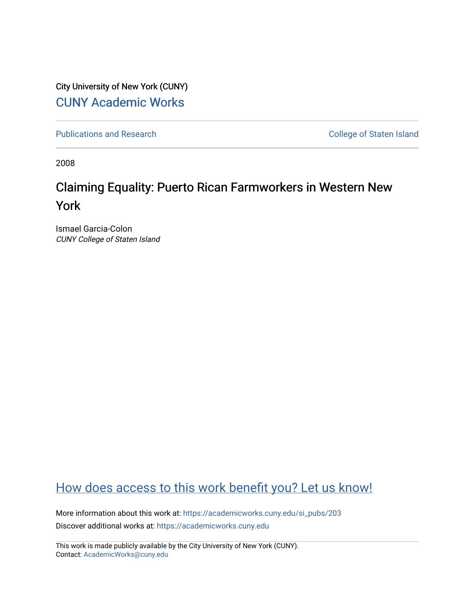City University of New York (CUNY) [CUNY Academic Works](https://academicworks.cuny.edu/) 

[Publications and Research](https://academicworks.cuny.edu/si_pubs) **College of Staten Island** College of Staten Island

2008

# Claiming Equality: Puerto Rican Farmworkers in Western New York

Ismael Garcia-Colon CUNY College of Staten Island

# [How does access to this work benefit you? Let us know!](http://ols.cuny.edu/academicworks/?ref=https://academicworks.cuny.edu/si_pubs/203)

More information about this work at: [https://academicworks.cuny.edu/si\\_pubs/203](https://academicworks.cuny.edu/si_pubs/203) Discover additional works at: [https://academicworks.cuny.edu](https://academicworks.cuny.edu/?)

This work is made publicly available by the City University of New York (CUNY). Contact: [AcademicWorks@cuny.edu](mailto:AcademicWorks@cuny.edu)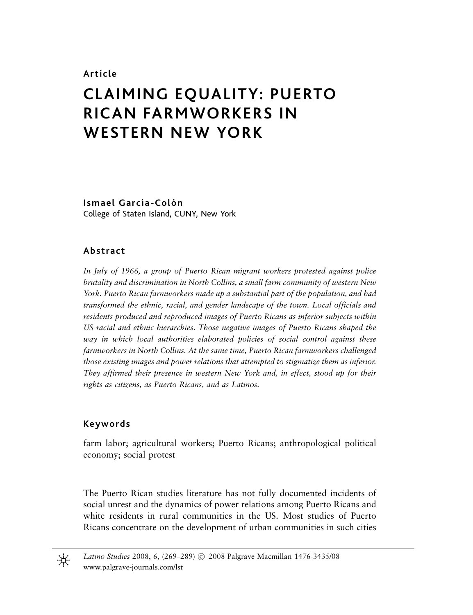Article

# CLAIMING EQUALITY: PUERTO RICAN FARMWORKERS IN WESTERN NEW YORK

Ismael García-Colón College of Staten Island, CUNY, New York

# Abstract

In July of 1966, a group of Puerto Rican migrant workers protested against police brutality and discrimination in North Collins, a small farm community of western New York. Puerto Rican farmworkers made up a substantial part of the population, and had transformed the ethnic, racial, and gender landscape of the town. Local officials and residents produced and reproduced images of Puerto Ricans as inferior subjects within US racial and ethnic hierarchies. Those negative images of Puerto Ricans shaped the way in which local authorities elaborated policies of social control against these farmworkers in North Collins. At the same time, Puerto Rican farmworkers challenged those existing images and power relations that attempted to stigmatize them as inferior. They affirmed their presence in western New York and, in effect, stood up for their rights as citizens, as Puerto Ricans, and as Latinos.

# Keywords

farm labor; agricultural workers; Puerto Ricans; anthropological political economy; social protest

The Puerto Rican studies literature has not fully documented incidents of social unrest and the dynamics of power relations among Puerto Ricans and white residents in rural communities in the US. Most studies of Puerto Ricans concentrate on the development of urban communities in such cities

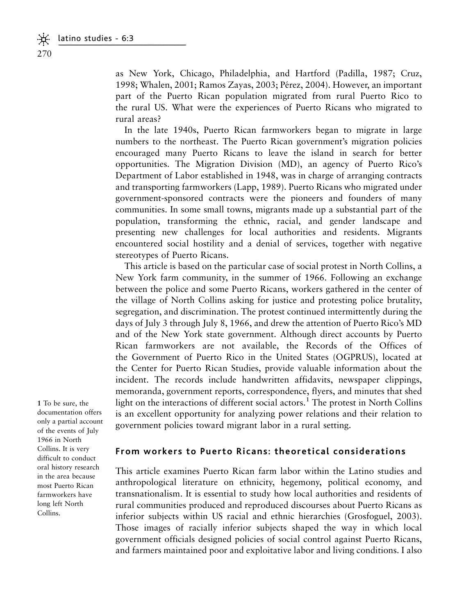as New York, Chicago, Philadelphia, and Hartford (Padilla, 1987; Cruz, 1998; Whalen, 2001; Ramos Zayas, 2003; Pérez, 2004). However, an important part of the Puerto Rican population migrated from rural Puerto Rico to the rural US. What were the experiences of Puerto Ricans who migrated to rural areas?

In the late 1940s, Puerto Rican farmworkers began to migrate in large numbers to the northeast. The Puerto Rican government's migration policies encouraged many Puerto Ricans to leave the island in search for better opportunities. The Migration Division (MD), an agency of Puerto Rico's Department of Labor established in 1948, was in charge of arranging contracts and transporting farmworkers (Lapp, 1989). Puerto Ricans who migrated under government-sponsored contracts were the pioneers and founders of many communities. In some small towns, migrants made up a substantial part of the population, transforming the ethnic, racial, and gender landscape and presenting new challenges for local authorities and residents. Migrants encountered social hostility and a denial of services, together with negative stereotypes of Puerto Ricans.

This article is based on the particular case of social protest in North Collins, a New York farm community, in the summer of 1966. Following an exchange between the police and some Puerto Ricans, workers gathered in the center of the village of North Collins asking for justice and protesting police brutality, segregation, and discrimination. The protest continued intermittently during the days of July 3 through July 8, 1966, and drew the attention of Puerto Rico's MD and of the New York state government. Although direct accounts by Puerto Rican farmworkers are not available, the Records of the Offices of the Government of Puerto Rico in the United States (OGPRUS), located at the Center for Puerto Rican Studies, provide valuable information about the incident. The records include handwritten affidavits, newspaper clippings, memoranda, government reports, correspondence, flyers, and minutes that shed light on the interactions of different social actors.<sup>1</sup> The protest in North Collins is an excellent opportunity for analyzing power relations and their relation to government policies toward migrant labor in a rural setting.

1 To be sure, the documentation offers only a partial account of the events of July 1966 in North Collins. It is very difficult to conduct oral history research in the area because most Puerto Rican farmworkers have long left North Collins.

## From workers to Puerto Ricans: theoretical considerations

This article examines Puerto Rican farm labor within the Latino studies and anthropological literature on ethnicity, hegemony, political economy, and transnationalism. It is essential to study how local authorities and residents of rural communities produced and reproduced discourses about Puerto Ricans as inferior subjects within US racial and ethnic hierarchies (Grosfoguel, 2003). Those images of racially inferior subjects shaped the way in which local government officials designed policies of social control against Puerto Ricans, and farmers maintained poor and exploitative labor and living conditions. I also

270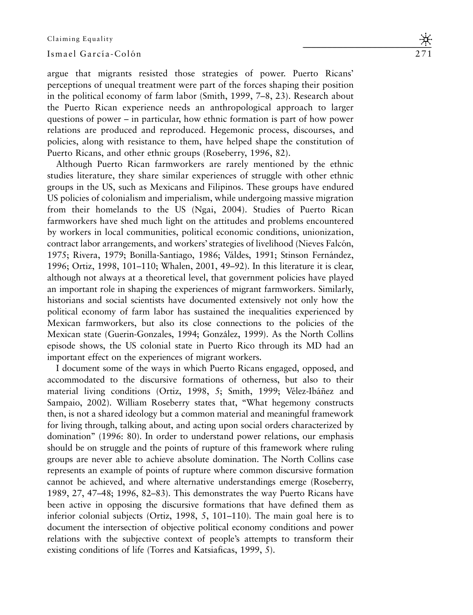## $\text{Ismael García-Colón}$

argue that migrants resisted those strategies of power. Puerto Ricans' perceptions of unequal treatment were part of the forces shaping their position in the political economy of farm labor (Smith, 1999, 7–8, 23). Research about the Puerto Rican experience needs an anthropological approach to larger questions of power – in particular, how ethnic formation is part of how power relations are produced and reproduced. Hegemonic process, discourses, and policies, along with resistance to them, have helped shape the constitution of Puerto Ricans, and other ethnic groups (Roseberry, 1996, 82).

Although Puerto Rican farmworkers are rarely mentioned by the ethnic studies literature, they share similar experiences of struggle with other ethnic groups in the US, such as Mexicans and Filipinos. These groups have endured US policies of colonialism and imperialism, while undergoing massive migration from their homelands to the US (Ngai, 2004). Studies of Puerto Rican farmworkers have shed much light on the attitudes and problems encountered by workers in local communities, political economic conditions, unionization, contract labor arrangements, and workers' strategies of livelihood (Nieves Falcón, 1975; Rivera, 1979; Bonilla-Santiago, 1986; Váldes, 1991; Stinson Fernández, 1996; Ortiz, 1998, 101–110; Whalen, 2001, 49–92). In this literature it is clear, although not always at a theoretical level, that government policies have played an important role in shaping the experiences of migrant farmworkers. Similarly, historians and social scientists have documented extensively not only how the political economy of farm labor has sustained the inequalities experienced by Mexican farmworkers, but also its close connections to the policies of the Mexican state (Guerin-Gonzales, 1994; González, 1999). As the North Collins episode shows, the US colonial state in Puerto Rico through its MD had an important effect on the experiences of migrant workers.

I document some of the ways in which Puerto Ricans engaged, opposed, and accommodated to the discursive formations of otherness, but also to their material living conditions (Ortiz, 1998, 5; Smith, 1999; Vélez-Ibáñez and Sampaio, 2002). William Roseberry states that, ''What hegemony constructs then, is not a shared ideology but a common material and meaningful framework for living through, talking about, and acting upon social orders characterized by domination'' (1996: 80). In order to understand power relations, our emphasis should be on struggle and the points of rupture of this framework where ruling groups are never able to achieve absolute domination. The North Collins case represents an example of points of rupture where common discursive formation cannot be achieved, and where alternative understandings emerge (Roseberry, 1989, 27, 47–48; 1996, 82–83). This demonstrates the way Puerto Ricans have been active in opposing the discursive formations that have defined them as inferior colonial subjects (Ortiz, 1998, 5, 101–110). The main goal here is to document the intersection of objective political economy conditions and power relations with the subjective context of people's attempts to transform their existing conditions of life (Torres and Katsiaficas, 1999, 5).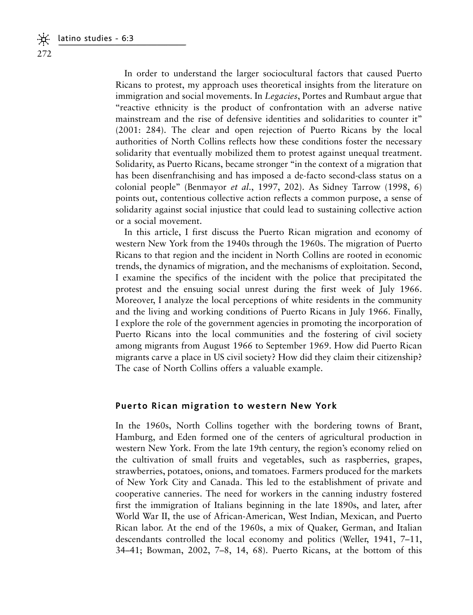In order to understand the larger sociocultural factors that caused Puerto Ricans to protest, my approach uses theoretical insights from the literature on immigration and social movements. In Legacies, Portes and Rumbaut argue that ''reactive ethnicity is the product of confrontation with an adverse native mainstream and the rise of defensive identities and solidarities to counter it'' (2001: 284). The clear and open rejection of Puerto Ricans by the local authorities of North Collins reflects how these conditions foster the necessary solidarity that eventually mobilized them to protest against unequal treatment. Solidarity, as Puerto Ricans, became stronger ''in the context of a migration that has been disenfranchising and has imposed a de-facto second-class status on a colonial people" (Benmayor et al., 1997, 202). As Sidney Tarrow  $(1998, 6)$ points out, contentious collective action reflects a common purpose, a sense of solidarity against social injustice that could lead to sustaining collective action or a social movement.

In this article, I first discuss the Puerto Rican migration and economy of western New York from the 1940s through the 1960s. The migration of Puerto Ricans to that region and the incident in North Collins are rooted in economic trends, the dynamics of migration, and the mechanisms of exploitation. Second, I examine the specifics of the incident with the police that precipitated the protest and the ensuing social unrest during the first week of July 1966. Moreover, I analyze the local perceptions of white residents in the community and the living and working conditions of Puerto Ricans in July 1966. Finally, I explore the role of the government agencies in promoting the incorporation of Puerto Ricans into the local communities and the fostering of civil society among migrants from August 1966 to September 1969. How did Puerto Rican migrants carve a place in US civil society? How did they claim their citizenship? The case of North Collins offers a valuable example.

### Puerto Rican migration to western New York

In the 1960s, North Collins together with the bordering towns of Brant, Hamburg, and Eden formed one of the centers of agricultural production in western New York. From the late 19th century, the region's economy relied on the cultivation of small fruits and vegetables, such as raspberries, grapes, strawberries, potatoes, onions, and tomatoes. Farmers produced for the markets of New York City and Canada. This led to the establishment of private and cooperative canneries. The need for workers in the canning industry fostered first the immigration of Italians beginning in the late 1890s, and later, after World War II, the use of African-American, West Indian, Mexican, and Puerto Rican labor. At the end of the 1960s, a mix of Quaker, German, and Italian descendants controlled the local economy and politics (Weller, 1941, 7–11, 34–41; Bowman, 2002, 7–8, 14, 68). Puerto Ricans, at the bottom of this

272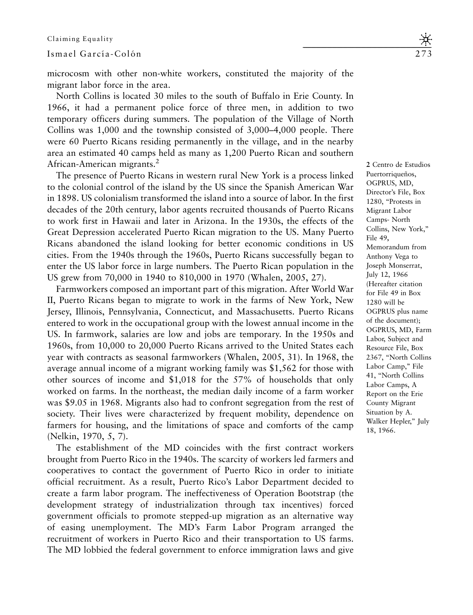microcosm with other non-white workers, constituted the majority of the migrant labor force in the area.

North Collins is located 30 miles to the south of Buffalo in Erie County. In 1966, it had a permanent police force of three men, in addition to two temporary officers during summers. The population of the Village of North Collins was 1,000 and the township consisted of 3,000–4,000 people. There were 60 Puerto Ricans residing permanently in the village, and in the nearby area an estimated 40 camps held as many as 1,200 Puerto Rican and southern African-American migrants.<sup>2</sup>

The presence of Puerto Ricans in western rural New York is a process linked to the colonial control of the island by the US since the Spanish American War in 1898. US colonialism transformed the island into a source of labor. In the first decades of the 20th century, labor agents recruited thousands of Puerto Ricans to work first in Hawaii and later in Arizona. In the 1930s, the effects of the Great Depression accelerated Puerto Rican migration to the US. Many Puerto Ricans abandoned the island looking for better economic conditions in US cities. From the 1940s through the 1960s, Puerto Ricans successfully began to enter the US labor force in large numbers. The Puerto Rican population in the US grew from 70,000 in 1940 to 810,000 in 1970 (Whalen, 2005, 27).

Farmworkers composed an important part of this migration. After World War II, Puerto Ricans began to migrate to work in the farms of New York, New Jersey, Illinois, Pennsylvania, Connecticut, and Massachusetts. Puerto Ricans entered to work in the occupational group with the lowest annual income in the US. In farmwork, salaries are low and jobs are temporary. In the 1950s and 1960s, from 10,000 to 20,000 Puerto Ricans arrived to the United States each year with contracts as seasonal farmworkers (Whalen, 2005, 31). In 1968, the average annual income of a migrant working family was \$1,562 for those with other sources of income and \$1,018 for the 57% of households that only worked on farms. In the northeast, the median daily income of a farm worker was \$9.05 in 1968. Migrants also had to confront segregation from the rest of society. Their lives were characterized by frequent mobility, dependence on farmers for housing, and the limitations of space and comforts of the camp (Nelkin, 1970, 5, 7).

The establishment of the MD coincides with the first contract workers brought from Puerto Rico in the 1940s. The scarcity of workers led farmers and cooperatives to contact the government of Puerto Rico in order to initiate official recruitment. As a result, Puerto Rico's Labor Department decided to create a farm labor program. The ineffectiveness of Operation Bootstrap (the development strategy of industrialization through tax incentives) forced government officials to promote stepped-up migration as an alternative way of easing unemployment. The MD's Farm Labor Program arranged the recruitment of workers in Puerto Rico and their transportation to US farms. The MD lobbied the federal government to enforce immigration laws and give 2 Centro de Estudios Puertorriqueños, OGPRUS, MD, Director's File, Box 1280, "Protests in Migrant Labor Camps- North Collins, New York,'' File 49, Memorandum from Anthony Vega to Joseph Monserrat, July 12, 1966 (Hereafter citation for File 49 in Box 1280 will be OGPRUS plus name of the document); OGPRUS, MD, Farm Labor, Subject and Resource File, Box 2367, ''North Collins Labor Camp," File 41, ''North Collins Labor Camps, A Report on the Erie County Migrant Situation by A. Walker Hepler,'' July 18, 1966.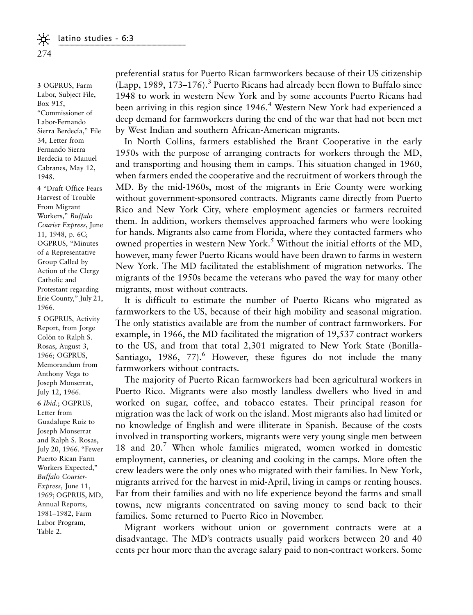3 OGPRUS, Farm Labor, Subject File, Box 915, ''Commissioner of Labor-Fernando Sierra Berdecía," File 34, Letter from Fernando Sierra Berdecía to Manuel Cabranes, May 12, 1948.

4 ''Draft Office Fears Harvest of Trouble From Migrant Workers,'' Buffalo Courier Express, June 11, 1948, p. 6C; OGPRUS, ''Minutes of a Representative Group Called by Action of the Clergy Catholic and Protestant regarding Erie County,'' July 21, 1966.

5 OGPRUS, Activity Report, from Jorge Colón to Ralph S. Rosas, August 3, 1966; OGPRUS, Memorandum from Anthony Vega to Joseph Monserrat, July 12, 1966.

6 Ibid.; OGPRUS, Letter from Guadalupe Ruiz to Joseph Monserrat and Ralph S. Rosas, July 20, 1966. "Fewer Puerto Rican Farm Workers Expected,'' Buffalo Courier-Express, June 11, 1969; OGPRUS, MD, Annual Reports, 1981–1982, Farm Labor Program, Table 2.

preferential status for Puerto Rican farmworkers because of their US citizenship (Lapp, 1989, 173–176).<sup>3</sup> Puerto Ricans had already been flown to Buffalo since 1948 to work in western New York and by some accounts Puerto Ricans had been arriving in this region since 1946.<sup>4</sup> Western New York had experienced a deep demand for farmworkers during the end of the war that had not been met by West Indian and southern African-American migrants.

In North Collins, farmers established the Brant Cooperative in the early 1950s with the purpose of arranging contracts for workers through the MD, and transporting and housing them in camps. This situation changed in 1960, when farmers ended the cooperative and the recruitment of workers through the MD. By the mid-1960s, most of the migrants in Erie County were working without government-sponsored contracts. Migrants came directly from Puerto Rico and New York City, where employment agencies or farmers recruited them. In addition, workers themselves approached farmers who were looking for hands. Migrants also came from Florida, where they contacted farmers who owned properties in western New York.<sup>5</sup> Without the initial efforts of the MD, however, many fewer Puerto Ricans would have been drawn to farms in western New York. The MD facilitated the establishment of migration networks. The migrants of the 1950s became the veterans who paved the way for many other migrants, most without contracts.

It is difficult to estimate the number of Puerto Ricans who migrated as farmworkers to the US, because of their high mobility and seasonal migration. The only statistics available are from the number of contract farmworkers. For example, in 1966, the MD facilitated the migration of 19,537 contract workers to the US, and from that total 2,301 migrated to New York State (Bonilla-Santiago, 1986, 77).<sup>6</sup> However, these figures do not include the many farmworkers without contracts.

The majority of Puerto Rican farmworkers had been agricultural workers in Puerto Rico. Migrants were also mostly landless dwellers who lived in and worked on sugar, coffee, and tobacco estates. Their principal reason for migration was the lack of work on the island. Most migrants also had limited or no knowledge of English and were illiterate in Spanish. Because of the costs involved in transporting workers, migrants were very young single men between 18 and 20.<sup>7</sup> When whole families migrated, women worked in domestic employment, canneries, or cleaning and cooking in the camps. More often the crew leaders were the only ones who migrated with their families. In New York, migrants arrived for the harvest in mid-April, living in camps or renting houses. Far from their families and with no life experience beyond the farms and small towns, new migrants concentrated on saving money to send back to their families. Some returned to Puerto Rico in November.

Migrant workers without union or government contracts were at a disadvantage. The MD's contracts usually paid workers between 20 and 40 cents per hour more than the average salary paid to non-contract workers. Some

<sup>274</sup>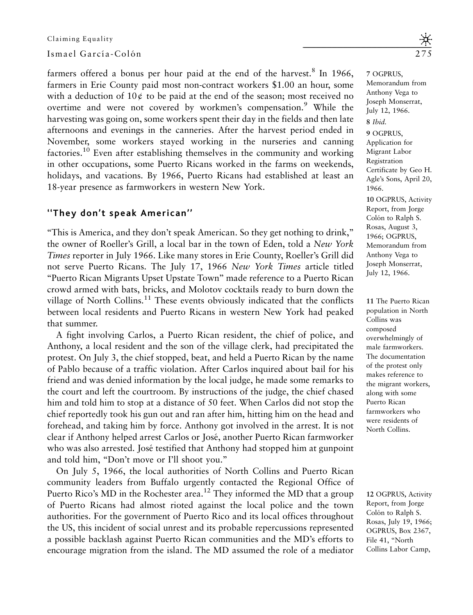farmers offered a bonus per hour paid at the end of the harvest.<sup>8</sup> In 1966, farmers in Erie County paid most non-contract workers \$1.00 an hour, some with a deduction of  $10¢$  to be paid at the end of the season; most received no overtime and were not covered by workmen's compensation.<sup>9</sup> While the harvesting was going on, some workers spent their day in the fields and then late afternoons and evenings in the canneries. After the harvest period ended in November, some workers stayed working in the nurseries and canning factories.10 Even after establishing themselves in the community and working in other occupations, some Puerto Ricans worked in the farms on weekends, holidays, and vacations. By 1966, Puerto Ricans had established at least an 18-year presence as farmworkers in western New York.

# ''They don't speak American''

''This is America, and they don't speak American. So they get nothing to drink,'' the owner of Roeller's Grill, a local bar in the town of Eden, told a New York Times reporter in July 1966. Like many stores in Erie County, Roeller's Grill did not serve Puerto Ricans. The July 17, 1966 New York Times article titled ''Puerto Rican Migrants Upset Upstate Town'' made reference to a Puerto Rican crowd armed with bats, bricks, and Molotov cocktails ready to burn down the village of North Collins.<sup>11</sup> These events obviously indicated that the conflicts between local residents and Puerto Ricans in western New York had peaked that summer.

A fight involving Carlos, a Puerto Rican resident, the chief of police, and Anthony, a local resident and the son of the village clerk, had precipitated the protest. On July 3, the chief stopped, beat, and held a Puerto Rican by the name of Pablo because of a traffic violation. After Carlos inquired about bail for his friend and was denied information by the local judge, he made some remarks to the court and left the courtroom. By instructions of the judge, the chief chased him and told him to stop at a distance of 50 feet. When Carlos did not stop the chief reportedly took his gun out and ran after him, hitting him on the head and forehead, and taking him by force. Anthony got involved in the arrest. It is not clear if Anthony helped arrest Carlos or Jose´, another Puerto Rican farmworker who was also arrested. José testified that Anthony had stopped him at gunpoint and told him, ''Don't move or I'll shoot you.''

On July 5, 1966, the local authorities of North Collins and Puerto Rican community leaders from Buffalo urgently contacted the Regional Office of Puerto Rico's MD in the Rochester area.<sup>12</sup> They informed the MD that a group of Puerto Ricans had almost rioted against the local police and the town authorities. For the government of Puerto Rico and its local offices throughout the US, this incident of social unrest and its probable repercussions represented a possible backlash against Puerto Rican communities and the MD's efforts to encourage migration from the island. The MD assumed the role of a mediator Anthony Vega to Joseph Monserrat, July 12, 1966. 8 Ibid. 9 OGPRUS, Application for Migrant Labor Registration Certificate by Geo H. Agle's Sons, April 20, 1966. 10 OGPRUS, Activity Report, from Jorge Colón to Ralph S. Rosas, August 3, 1966; OGPRUS, Memorandum from Anthony Vega to Joseph Monserrat,

7 OGPRUS, Memorandum from

11 The Puerto Rican population in North Collins was composed overwhelmingly of male farmworkers. The documentation of the protest only makes reference to the migrant workers, along with some Puerto Rican farmworkers who were residents of North Collins.

July 12, 1966.

12 OGPRUS, Activity Report, from Jorge Colón to Ralph S. Rosas, July 19, 1966; OGPRUS, Box 2367, File 41, "North Collins Labor Camp,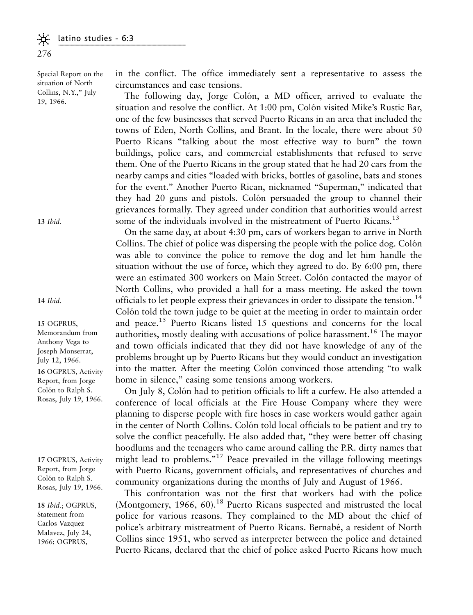Special Report on the situation of North Collins, N.Y.,'' July 19, 1966.

276

13 Ibid.

#### 14 Ibid.

15 OGPRUS, Memorandum from Anthony Vega to Joseph Monserrat, July 12, 1966. 16 OGPRUS, Activity Report, from Jorge Colón to Ralph S. Rosas, July 19, 1966.

17 OGPRUS, Activity Report, from Jorge Colón to Ralph S. Rosas, July 19, 1966.

18 Ibid.; OGPRUS, Statement from Carlos Vazquez Malavez, July 24, 1966; OGPRUS,

in the conflict. The office immediately sent a representative to assess the circumstances and ease tensions.

The following day, Jorge Colón, a MD officer, arrived to evaluate the situation and resolve the conflict. At 1:00 pm, Colón visited Mike's Rustic Bar, one of the few businesses that served Puerto Ricans in an area that included the towns of Eden, North Collins, and Brant. In the locale, there were about 50 Puerto Ricans "talking about the most effective way to burn" the town buildings, police cars, and commercial establishments that refused to serve them. One of the Puerto Ricans in the group stated that he had 20 cars from the nearby camps and cities ''loaded with bricks, bottles of gasoline, bats and stones for the event.'' Another Puerto Rican, nicknamed ''Superman,'' indicated that they had 20 guns and pistols. Colón persuaded the group to channel their grievances formally. They agreed under condition that authorities would arrest some of the individuals involved in the mistreatment of Puerto Ricans.<sup>13</sup>

On the same day, at about 4:30 pm, cars of workers began to arrive in North Collins. The chief of police was dispersing the people with the police dog. Colón was able to convince the police to remove the dog and let him handle the situation without the use of force, which they agreed to do. By 6:00 pm, there were an estimated 300 workers on Main Street. Colón contacted the mayor of North Collins, who provided a hall for a mass meeting. He asked the town officials to let people express their grievances in order to dissipate the tension.<sup>14</sup> Colón told the town judge to be quiet at the meeting in order to maintain order and peace.<sup>15</sup> Puerto Ricans listed 15 questions and concerns for the local authorities, mostly dealing with accusations of police harassment.<sup>16</sup> The mayor and town officials indicated that they did not have knowledge of any of the problems brought up by Puerto Ricans but they would conduct an investigation into the matter. After the meeting Colón convinced those attending "to walk home in silence," easing some tensions among workers.

On July 8, Colón had to petition officials to lift a curfew. He also attended a conference of local officials at the Fire House Company where they were planning to disperse people with fire hoses in case workers would gather again in the center of North Collins. Colón told local officials to be patient and try to solve the conflict peacefully. He also added that, ''they were better off chasing hoodlums and the teenagers who came around calling the P.R. dirty names that might lead to problems."<sup>17</sup> Peace prevailed in the village following meetings with Puerto Ricans, government officials, and representatives of churches and community organizations during the months of July and August of 1966.

This confrontation was not the first that workers had with the police (Montgomery,  $1966$ ,  $60$ ).<sup>18</sup> Puerto Ricans suspected and mistrusted the local police for various reasons. They complained to the MD about the chief of police's arbitrary mistreatment of Puerto Ricans. Bernabé, a resident of North Collins since 1951, who served as interpreter between the police and detained Puerto Ricans, declared that the chief of police asked Puerto Ricans how much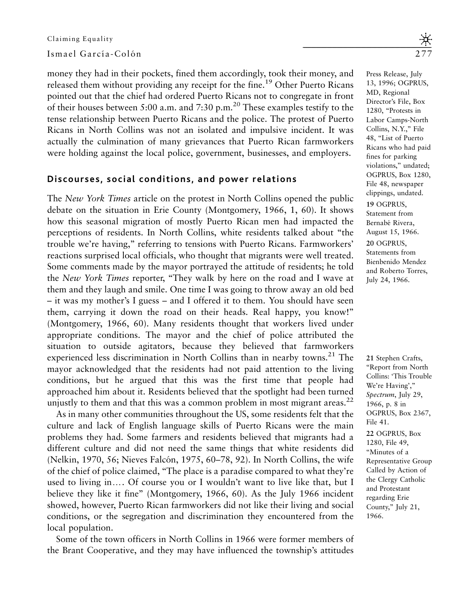money they had in their pockets, fined them accordingly, took their money, and released them without providing any receipt for the fine.<sup>19</sup> Other Puerto Ricans pointed out that the chief had ordered Puerto Ricans not to congregate in front of their houses between 5:00 a.m. and 7:30 p.m.<sup>20</sup> These examples testify to the tense relationship between Puerto Ricans and the police. The protest of Puerto Ricans in North Collins was not an isolated and impulsive incident. It was actually the culmination of many grievances that Puerto Rican farmworkers were holding against the local police, government, businesses, and employers.

## Discourses, social conditions, and power relations

The *New York Times* article on the protest in North Collins opened the public debate on the situation in Erie County (Montgomery, 1966, 1, 60). It shows how this seasonal migration of mostly Puerto Rican men had impacted the perceptions of residents. In North Collins, white residents talked about ''the trouble we're having,'' referring to tensions with Puerto Ricans. Farmworkers' reactions surprised local officials, who thought that migrants were well treated. Some comments made by the mayor portrayed the attitude of residents; he told the New York Times reporter, "They walk by here on the road and I wave at them and they laugh and smile. One time I was going to throw away an old bed – it was my mother's I guess – and I offered it to them. You should have seen them, carrying it down the road on their heads. Real happy, you know!'' (Montgomery, 1966, 60). Many residents thought that workers lived under appropriate conditions. The mayor and the chief of police attributed the situation to outside agitators, because they believed that farmworkers experienced less discrimination in North Collins than in nearby towns.<sup>21</sup> The mayor acknowledged that the residents had not paid attention to the living conditions, but he argued that this was the first time that people had approached him about it. Residents believed that the spotlight had been turned unjustly to them and that this was a common problem in most migrant areas.<sup>22</sup>

As in many other communities throughout the US, some residents felt that the culture and lack of English language skills of Puerto Ricans were the main problems they had. Some farmers and residents believed that migrants had a different culture and did not need the same things that white residents did (Nelkin, 1970, 56; Nieves Falcón, 1975, 60–78, 92). In North Collins, the wife of the chief of police claimed, ''The place is a paradise compared to what they're used to living in.... Of course you or I wouldn't want to live like that, but I believe they like it fine'' (Montgomery, 1966, 60). As the July 1966 incident showed, however, Puerto Rican farmworkers did not like their living and social conditions, or the segregation and discrimination they encountered from the local population.

Some of the town officers in North Collins in 1966 were former members of the Brant Cooperative, and they may have influenced the township's attitudes Press Release, July 13, 1996; OGPRUS, MD, Regional Director's File, Box 1280, ''Protests in Labor Camps-North Collins, N.Y.,'' File 48, "List of Puerto Ricans who had paid fines for parking violations,'' undated; OGPRUS, Box 1280, File 48, newspaper clippings, undated. 19 OGPRUS, Statement from Bernabé Rivera, August 15, 1966. 20 OGPRUS, Statements from Bienbenido Mendez and Roberto Torres, July 24, 1966.

21 Stephen Crafts, ''Report from North Collins: 'This Trouble We're Having','' Spectrum, July 29, 1966, p. 8 in OGPRUS, Box 2367, File 41. 22 OGPRUS, Box 1280, File 49, ''Minutes of a Representative Group Called by Action of the Clergy Catholic and Protestant regarding Erie County,'' July 21, 1966.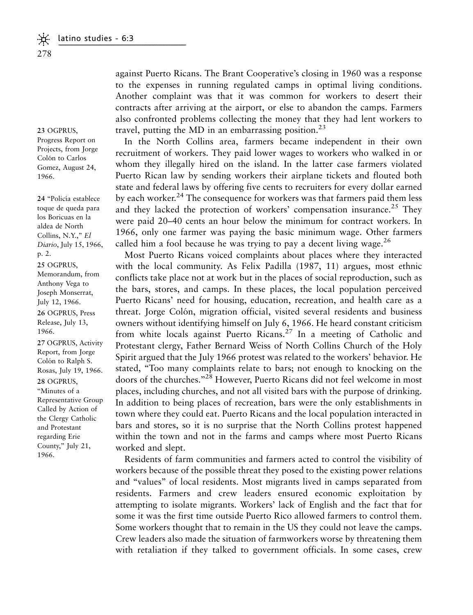#### 23 OGPRUS,

278

Progress Report on Projects, from Jorge Colón to Carlos Gomez, August 24, 1966.

24 "Policía establece toque de queda para los Boricuas en la aldea de North Collins, N.Y.,'' El Diario, July 15, 1966, p. 2.

#### 25 OGPRUS,

Memorandum, from Anthony Vega to Joseph Monserrat, July 12, 1966. 26 OGPRUS, Press Release, July 13, 1966.

27 OGPRUS, Activity Report, from Jorge Colón to Ralph S. Rosas, July 19, 1966.

28 OGPRUS, ''Minutes of a Representative Group Called by Action of the Clergy Catholic and Protestant regarding Erie County,'' July 21, 1966.

against Puerto Ricans. The Brant Cooperative's closing in 1960 was a response to the expenses in running regulated camps in optimal living conditions. Another complaint was that it was common for workers to desert their contracts after arriving at the airport, or else to abandon the camps. Farmers also confronted problems collecting the money that they had lent workers to travel, putting the MD in an embarrassing position.<sup>23</sup>

In the North Collins area, farmers became independent in their own recruitment of workers. They paid lower wages to workers who walked in or whom they illegally hired on the island. In the latter case farmers violated Puerto Rican law by sending workers their airplane tickets and flouted both state and federal laws by offering five cents to recruiters for every dollar earned by each worker.<sup>24</sup> The consequence for workers was that farmers paid them less and they lacked the protection of workers' compensation insurance.<sup>25</sup> They were paid 20–40 cents an hour below the minimum for contract workers. In 1966, only one farmer was paying the basic minimum wage. Other farmers called him a fool because he was trying to pay a decent living wage.<sup>26</sup>

Most Puerto Ricans voiced complaints about places where they interacted with the local community. As Felix Padilla (1987, 11) argues, most ethnic conflicts take place not at work but in the places of social reproduction, such as the bars, stores, and camps. In these places, the local population perceived Puerto Ricans' need for housing, education, recreation, and health care as a threat. Jorge Colón, migration official, visited several residents and business owners without identifying himself on July 6, 1966. He heard constant criticism from white locals against Puerto Ricans.<sup>27</sup> In a meeting of Catholic and Protestant clergy, Father Bernard Weiss of North Collins Church of the Holy Spirit argued that the July 1966 protest was related to the workers' behavior. He stated, ''Too many complaints relate to bars; not enough to knocking on the doors of the churches."<sup>28</sup> However, Puerto Ricans did not feel welcome in most places, including churches, and not all visited bars with the purpose of drinking. In addition to being places of recreation, bars were the only establishments in town where they could eat. Puerto Ricans and the local population interacted in bars and stores, so it is no surprise that the North Collins protest happened within the town and not in the farms and camps where most Puerto Ricans worked and slept.

Residents of farm communities and farmers acted to control the visibility of workers because of the possible threat they posed to the existing power relations and ''values'' of local residents. Most migrants lived in camps separated from residents. Farmers and crew leaders ensured economic exploitation by attempting to isolate migrants. Workers' lack of English and the fact that for some it was the first time outside Puerto Rico allowed farmers to control them. Some workers thought that to remain in the US they could not leave the camps. Crew leaders also made the situation of farmworkers worse by threatening them with retaliation if they talked to government officials. In some cases, crew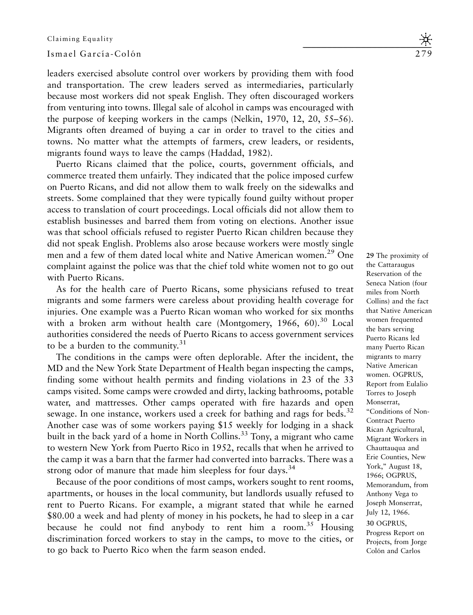leaders exercised absolute control over workers by providing them with food and transportation. The crew leaders served as intermediaries, particularly because most workers did not speak English. They often discouraged workers from venturing into towns. Illegal sale of alcohol in camps was encouraged with the purpose of keeping workers in the camps (Nelkin, 1970, 12, 20, 55–56). Migrants often dreamed of buying a car in order to travel to the cities and towns. No matter what the attempts of farmers, crew leaders, or residents, migrants found ways to leave the camps (Haddad, 1982).

Puerto Ricans claimed that the police, courts, government officials, and commerce treated them unfairly. They indicated that the police imposed curfew on Puerto Ricans, and did not allow them to walk freely on the sidewalks and streets. Some complained that they were typically found guilty without proper access to translation of court proceedings. Local officials did not allow them to establish businesses and barred them from voting on elections. Another issue was that school officials refused to register Puerto Rican children because they did not speak English. Problems also arose because workers were mostly single men and a few of them dated local white and Native American women.<sup>29</sup> One complaint against the police was that the chief told white women not to go out with Puerto Ricans.

As for the health care of Puerto Ricans, some physicians refused to treat migrants and some farmers were careless about providing health coverage for injuries. One example was a Puerto Rican woman who worked for six months with a broken arm without health care (Montgomery, 1966, 60).<sup>30</sup> Local authorities considered the needs of Puerto Ricans to access government services to be a burden to the community. $31$ 

The conditions in the camps were often deplorable. After the incident, the MD and the New York State Department of Health began inspecting the camps, finding some without health permits and finding violations in 23 of the 33 camps visited. Some camps were crowded and dirty, lacking bathrooms, potable water, and mattresses. Other camps operated with fire hazards and open sewage. In one instance, workers used a creek for bathing and rags for beds.<sup>32</sup> Another case was of some workers paying \$15 weekly for lodging in a shack built in the back yard of a home in North Collins.<sup>33</sup> Tony, a migrant who came to western New York from Puerto Rico in 1952, recalls that when he arrived to the camp it was a barn that the farmer had converted into barracks. There was a strong odor of manure that made him sleepless for four days.<sup>34</sup>

Because of the poor conditions of most camps, workers sought to rent rooms, apartments, or houses in the local community, but landlords usually refused to rent to Puerto Ricans. For example, a migrant stated that while he earned \$80.00 a week and had plenty of money in his pockets, he had to sleep in a car because he could not find anybody to rent him a room.<sup>35</sup> Housing discrimination forced workers to stay in the camps, to move to the cities, or to go back to Puerto Rico when the farm season ended.

29 The proximity of the Cattaraugus Reservation of the Seneca Nation (four miles from North Collins) and the fact that Native American women frequented the bars serving Puerto Ricans led many Puerto Rican migrants to marry Native American women. OGPRUS, Report from Eulalio Torres to Joseph Monserrat, ''Conditions of Non-Contract Puerto Rican Agricultural, Migrant Workers in Chauttauqua and Erie Counties, New York," August 18, 1966; OGPRUS, Memorandum, from Anthony Vega to Joseph Monserrat, July 12, 1966. 30 OGPRUS, Progress Report on Projects, from Jorge Colón and Carlos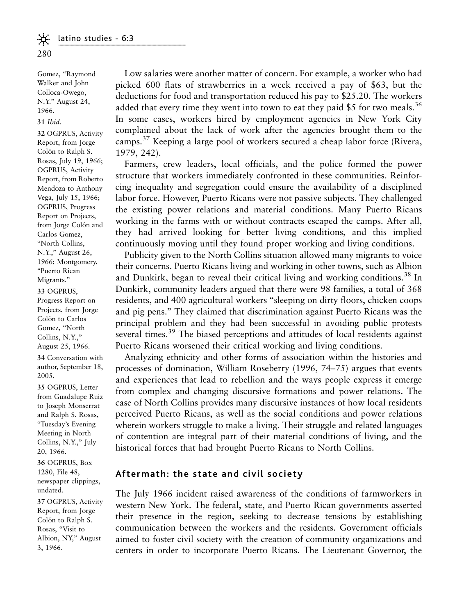Gomez, "Raymond Walker and John Colloca-Owego, N.Y.'' August 24, 1966.

#### 31 Ibid.

32 OGPRUS, Activity Report, from Jorge Colón to Ralph S. Rosas, July 19, 1966; OGPRUS, Activity Report, from Roberto Mendoza to Anthony Vega, July 15, 1966; OGPRUS, Progress Report on Projects, from Jorge Colón and Carlos Gomez, ''North Collins, N.Y.,'' August 26, 1966; Montgomery, ''Puerto Rican Migrants.'' 33 OGPRUS, Progress Report on Projects, from Jorge

Colón to Carlos Gomez, ''North Collins, N.Y.,'' August 25, 1966.

34 Conversation with author, September 18, 2005.

35 OGPRUS, Letter from Guadalupe Ruiz to Joseph Monserrat and Ralph S. Rosas, ''Tuesday's Evening Meeting in North Collins, N.Y.,'' July 20, 1966.

36 OGPRUS, Box 1280, File 48, newspaper clippings, undated.

37 OGPRUS, Activity Report, from Jorge Colón to Ralph S. Rosas, "Visit to Albion, NY,'' August 3, 1966.

Low salaries were another matter of concern. For example, a worker who had picked 600 flats of strawberries in a week received a pay of \$63, but the deductions for food and transportation reduced his pay to \$25.20. The workers added that every time they went into town to eat they paid \$5 for two meals.<sup>36</sup> In some cases, workers hired by employment agencies in New York City complained about the lack of work after the agencies brought them to the camps.<sup>37</sup> Keeping a large pool of workers secured a cheap labor force (Rivera, 1979, 242).

Farmers, crew leaders, local officials, and the police formed the power structure that workers immediately confronted in these communities. Reinforcing inequality and segregation could ensure the availability of a disciplined labor force. However, Puerto Ricans were not passive subjects. They challenged the existing power relations and material conditions. Many Puerto Ricans working in the farms with or without contracts escaped the camps. After all, they had arrived looking for better living conditions, and this implied continuously moving until they found proper working and living conditions.

Publicity given to the North Collins situation allowed many migrants to voice their concerns. Puerto Ricans living and working in other towns, such as Albion and Dunkirk, began to reveal their critical living and working conditions.<sup>38</sup> In Dunkirk, community leaders argued that there were 98 families, a total of 368 residents, and 400 agricultural workers ''sleeping on dirty floors, chicken coops and pig pens.'' They claimed that discrimination against Puerto Ricans was the principal problem and they had been successful in avoiding public protests several times.<sup>39</sup> The biased perceptions and attitudes of local residents against Puerto Ricans worsened their critical working and living conditions.

Analyzing ethnicity and other forms of association within the histories and processes of domination, William Roseberry (1996, 74–75) argues that events and experiences that lead to rebellion and the ways people express it emerge from complex and changing discursive formations and power relations. The case of North Collins provides many discursive instances of how local residents perceived Puerto Ricans, as well as the social conditions and power relations wherein workers struggle to make a living. Their struggle and related languages of contention are integral part of their material conditions of living, and the historical forces that had brought Puerto Ricans to North Collins.

#### Aftermath: the state and civil society

The July 1966 incident raised awareness of the conditions of farmworkers in western New York. The federal, state, and Puerto Rican governments asserted their presence in the region, seeking to decrease tensions by establishing communication between the workers and the residents. Government officials aimed to foster civil society with the creation of community organizations and centers in order to incorporate Puerto Ricans. The Lieutenant Governor, the

<sup>280</sup>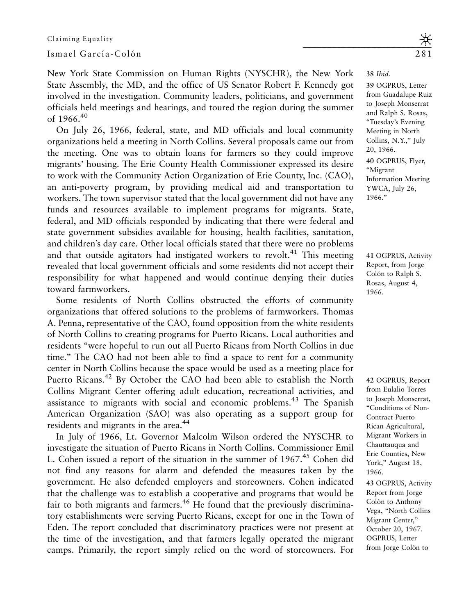New York State Commission on Human Rights (NYSCHR), the New York State Assembly, the MD, and the office of US Senator Robert F. Kennedy got involved in the investigation. Community leaders, politicians, and government officials held meetings and hearings, and toured the region during the summer of  $1966^{40}$ 

On July 26, 1966, federal, state, and MD officials and local community organizations held a meeting in North Collins. Several proposals came out from the meeting. One was to obtain loans for farmers so they could improve migrants' housing. The Erie County Health Commissioner expressed its desire to work with the Community Action Organization of Erie County, Inc. (CAO), an anti-poverty program, by providing medical aid and transportation to workers. The town supervisor stated that the local government did not have any funds and resources available to implement programs for migrants. State, federal, and MD officials responded by indicating that there were federal and state government subsidies available for housing, health facilities, sanitation, and children's day care. Other local officials stated that there were no problems and that outside agitators had instigated workers to revolt.<sup>41</sup> This meeting revealed that local government officials and some residents did not accept their responsibility for what happened and would continue denying their duties toward farmworkers.

Some residents of North Collins obstructed the efforts of community organizations that offered solutions to the problems of farmworkers. Thomas A. Penna, representative of the CAO, found opposition from the white residents of North Collins to creating programs for Puerto Ricans. Local authorities and residents ''were hopeful to run out all Puerto Ricans from North Collins in due time.'' The CAO had not been able to find a space to rent for a community center in North Collins because the space would be used as a meeting place for Puerto Ricans.<sup>42</sup> By October the CAO had been able to establish the North Collins Migrant Center offering adult education, recreational activities, and assistance to migrants with social and economic problems.<sup>43</sup> The Spanish American Organization (SAO) was also operating as a support group for residents and migrants in the area.<sup>44</sup>

In July of 1966, Lt. Governor Malcolm Wilson ordered the NYSCHR to investigate the situation of Puerto Ricans in North Collins. Commissioner Emil L. Cohen issued a report of the situation in the summer of 1967.<sup>45</sup> Cohen did not find any reasons for alarm and defended the measures taken by the government. He also defended employers and storeowners. Cohen indicated that the challenge was to establish a cooperative and programs that would be fair to both migrants and farmers.<sup>46</sup> He found that the previously discriminatory establishments were serving Puerto Ricans, except for one in the Town of Eden. The report concluded that discriminatory practices were not present at the time of the investigation, and that farmers legally operated the migrant camps. Primarily, the report simply relied on the word of storeowners. For 38 Ibid. 39 OGPRUS, Letter from Guadalupe Ruiz to Joseph Monserrat and Ralph S. Rosas, ''Tuesday's Evening Meeting in North Collins, N.Y.,'' July 20, 1966. 40 OGPRUS, Flyer, ''Migrant Information Meeting YWCA, July 26, 1966.''

41 OGPRUS, Activity Report, from Jorge Colón to Ralph S. Rosas, August 4, 1966.

42 OGPRUS, Report from Eulalio Torres to Joseph Monserrat, ''Conditions of Non-Contract Puerto Rican Agricultural, Migrant Workers in Chauttauqua and Erie Counties, New York," August 18, 1966.

43 OGPRUS, Activity Report from Jorge Colón to Anthony Vega, ''North Collins Migrant Center,'' October 20, 1967. OGPRUS, Letter from Jorge Colón to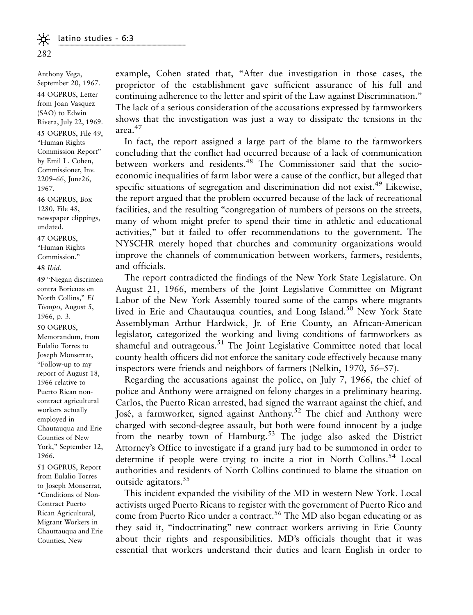Anthony Vega, September 20, 1967. 44 OGPRUS, Letter from Joan Vasquez (SAO) to Edwin Rivera, July 22, 1969.

282

45 OGPRUS, File 49, ''Human Rights Commission Report'' by Emil L. Cohen, Commissioner, Inv. 2209–66, June26, 1967.

46 OGPRUS, Box 1280, File 48, newspaper clippings, undated.

#### 47 OGPRUS,

''Human Rights Commission.''

48 Ibid.

49 ''Niegan discrimen contra Boricuas en North Collins,'' El Tiempo, August 5, 1966, p. 3.

#### 50 OGPRUS,

Memorandum, from Eulalio Torres to Joseph Monserrat, ''Follow-up to my report of August 18, 1966 relative to Puerto Rican noncontract agricultural workers actually employed in Chautauqua and Erie Counties of New York,'' September 12, 1966.

51 OGPRUS, Report from Eulalio Torres to Joseph Monserrat, ''Conditions of Non-Contract Puerto Rican Agricultural, Migrant Workers in Chauttauqua and Erie Counties, New

example, Cohen stated that, ''After due investigation in those cases, the proprietor of the establishment gave sufficient assurance of his full and continuing adherence to the letter and spirit of the Law against Discrimination.'' The lack of a serious consideration of the accusations expressed by farmworkers shows that the investigation was just a way to dissipate the tensions in the area.<sup>47</sup>

In fact, the report assigned a large part of the blame to the farmworkers concluding that the conflict had occurred because of a lack of communication between workers and residents.<sup>48</sup> The Commissioner said that the socioeconomic inequalities of farm labor were a cause of the conflict, but alleged that specific situations of segregation and discrimination did not exist.<sup>49</sup> Likewise, the report argued that the problem occurred because of the lack of recreational facilities, and the resulting "congregation of numbers of persons on the streets, many of whom might prefer to spend their time in athletic and educational activities,'' but it failed to offer recommendations to the government. The NYSCHR merely hoped that churches and community organizations would improve the channels of communication between workers, farmers, residents, and officials.

The report contradicted the findings of the New York State Legislature. On August 21, 1966, members of the Joint Legislative Committee on Migrant Labor of the New York Assembly toured some of the camps where migrants lived in Erie and Chautauqua counties, and Long Island.<sup>50</sup> New York State Assemblyman Arthur Hardwick, Jr. of Erie County, an African-American legislator, categorized the working and living conditions of farmworkers as shameful and outrageous.<sup>51</sup> The Joint Legislative Committee noted that local county health officers did not enforce the sanitary code effectively because many inspectors were friends and neighbors of farmers (Nelkin, 1970, 56–57).

Regarding the accusations against the police, on July 7, 1966, the chief of police and Anthony were arraigned on felony charges in a preliminary hearing. Carlos, the Puerto Rican arrested, had signed the warrant against the chief, and José, a farmworker, signed against Anthony.<sup>52</sup> The chief and Anthony were charged with second-degree assault, but both were found innocent by a judge from the nearby town of Hamburg.<sup>53</sup> The judge also asked the District Attorney's Office to investigate if a grand jury had to be summoned in order to determine if people were trying to incite a riot in North Collins.<sup>54</sup> Local authorities and residents of North Collins continued to blame the situation on outside agitators.<sup>55</sup>

This incident expanded the visibility of the MD in western New York. Local activists urged Puerto Ricans to register with the government of Puerto Rico and come from Puerto Rico under a contract.<sup>56</sup> The MD also began educating or as they said it, ''indoctrinating'' new contract workers arriving in Erie County about their rights and responsibilities. MD's officials thought that it was essential that workers understand their duties and learn English in order to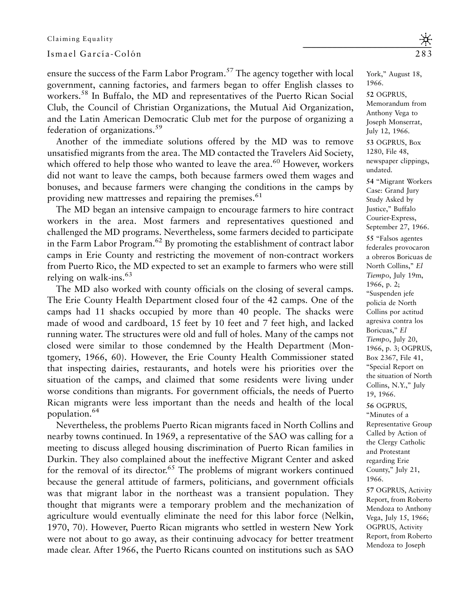ensure the success of the Farm Labor Program.<sup>57</sup> The agency together with local government, canning factories, and farmers began to offer English classes to workers.<sup>58</sup> In Buffalo, the MD and representatives of the Puerto Rican Social Club, the Council of Christian Organizations, the Mutual Aid Organization, and the Latin American Democratic Club met for the purpose of organizing a federation of organizations.<sup>59</sup>

Another of the immediate solutions offered by the MD was to remove unsatisfied migrants from the area. The MD contacted the Travelers Aid Society, which offered to help those who wanted to leave the area.<sup>60</sup> However, workers did not want to leave the camps, both because farmers owed them wages and bonuses, and because farmers were changing the conditions in the camps by providing new mattresses and repairing the premises.<sup>61</sup>

The MD began an intensive campaign to encourage farmers to hire contract workers in the area. Most farmers and representatives questioned and challenged the MD programs. Nevertheless, some farmers decided to participate in the Farm Labor Program.<sup>62</sup> By promoting the establishment of contract labor camps in Erie County and restricting the movement of non-contract workers from Puerto Rico, the MD expected to set an example to farmers who were still relying on walk-ins. $63$ 

The MD also worked with county officials on the closing of several camps. The Erie County Health Department closed four of the 42 camps. One of the camps had 11 shacks occupied by more than 40 people. The shacks were made of wood and cardboard, 15 feet by 10 feet and 7 feet high, and lacked running water. The structures were old and full of holes. Many of the camps not closed were similar to those condemned by the Health Department (Montgomery, 1966, 60). However, the Erie County Health Commissioner stated that inspecting dairies, restaurants, and hotels were his priorities over the situation of the camps, and claimed that some residents were living under worse conditions than migrants. For government officials, the needs of Puerto Rican migrants were less important than the needs and health of the local population.64

Nevertheless, the problems Puerto Rican migrants faced in North Collins and nearby towns continued. In 1969, a representative of the SAO was calling for a meeting to discuss alleged housing discrimination of Puerto Rican families in Durkin. They also complained about the ineffective Migrant Center and asked for the removal of its director.<sup>65</sup> The problems of migrant workers continued because the general attitude of farmers, politicians, and government officials was that migrant labor in the northeast was a transient population. They thought that migrants were a temporary problem and the mechanization of agriculture would eventually eliminate the need for this labor force (Nelkin, 1970, 70). However, Puerto Rican migrants who settled in western New York were not about to go away, as their continuing advocacy for better treatment made clear. After 1966, the Puerto Ricans counted on institutions such as SAO York," August 18, 1966. 52 OGPRUS, Memorandum from Anthony Vega to Joseph Monserrat, July 12, 1966. 53 OGPRUS, Box 1280, File 48, newspaper clippings, undated. 54 ''Migrant Workers Case: Grand Jury Study Asked by Justice,'' Buffalo Courier-Express, September 27, 1966. 55 ''Falsos agentes federales provocaron a obreros Boricuas de North Collins,'' El Tiempo, July 19m, 1966, p. 2; ''Suspenden jefe policía de North Collins por actitud agresiva contra los Boricuas,'' El Tiempo, July 20, 1966, p. 3; OGPRUS, Box 2367, File 41, ''Special Report on the situation of North Collins, N.Y.,'' July 19, 1966. 56 OGPRUS, ''Minutes of a Representative Group Called by Action of the Clergy Catholic and Protestant regarding Erie County,'' July 21, 1966. 57 OGPRUS, Activity

Report, from Roberto Mendoza to Anthony Vega, July 15, 1966; OGPRUS, Activity Report, from Roberto Mendoza to Joseph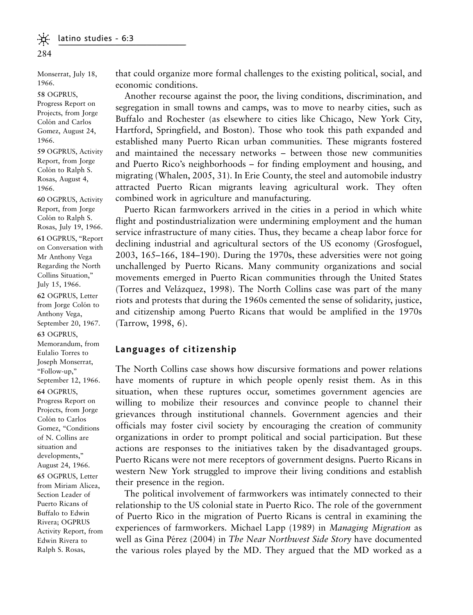Monserrat, July 18, 1966.

58 OGPRUS,

284

Progress Report on Projects, from Jorge Colón and Carlos Gomez, August 24, 1966.

59 OGPRUS, Activity Report, from Jorge Colón to Ralph S. Rosas, August 4, 1966.

60 OGPRUS, Activity Report, from Jorge Colón to Ralph S. Rosas, July 19, 1966.

61 OGPRUS, ''Report on Conversation with Mr Anthony Vega Regarding the North Collins Situation,'' July 15, 1966.

62 OGPRUS, Letter from Jorge Colón to Anthony Vega, September 20, 1967.

63 OGPRUS, Memorandum, from Eulalio Torres to Joseph Monserrat, ''Follow-up,''

September 12, 1966. 64 OGPRUS, Progress Report on

Projects, from Jorge Colón to Carlos Gomez, "Conditions of N. Collins are situation and developments,'' August 24, 1966.

65 OGPRUS, Letter from Miriam Alicea, Section Leader of Puerto Ricans of Buffalo to Edwin Rivera; OGPRUS Activity Report, from Edwin Rivera to Ralph S. Rosas,

that could organize more formal challenges to the existing political, social, and economic conditions.

Another recourse against the poor, the living conditions, discrimination, and segregation in small towns and camps, was to move to nearby cities, such as Buffalo and Rochester (as elsewhere to cities like Chicago, New York City, Hartford, Springfield, and Boston). Those who took this path expanded and established many Puerto Rican urban communities. These migrants fostered and maintained the necessary networks – between those new communities and Puerto Rico's neighborhoods – for finding employment and housing, and migrating (Whalen, 2005, 31). In Erie County, the steel and automobile industry attracted Puerto Rican migrants leaving agricultural work. They often combined work in agriculture and manufacturing.

Puerto Rican farmworkers arrived in the cities in a period in which white flight and postindustrialization were undermining employment and the human service infrastructure of many cities. Thus, they became a cheap labor force for declining industrial and agricultural sectors of the US economy (Grosfoguel, 2003, 165–166, 184–190). During the 1970s, these adversities were not going unchallenged by Puerto Ricans. Many community organizations and social movements emerged in Puerto Rican communities through the United States (Torres and Velázquez, 1998). The North Collins case was part of the many riots and protests that during the 1960s cemented the sense of solidarity, justice, and citizenship among Puerto Ricans that would be amplified in the 1970s (Tarrow, 1998, 6).

## Languages of citizenship

The North Collins case shows how discursive formations and power relations have moments of rupture in which people openly resist them. As in this situation, when these ruptures occur, sometimes government agencies are willing to mobilize their resources and convince people to channel their grievances through institutional channels. Government agencies and their officials may foster civil society by encouraging the creation of community organizations in order to prompt political and social participation. But these actions are responses to the initiatives taken by the disadvantaged groups. Puerto Ricans were not mere receptors of government designs. Puerto Ricans in western New York struggled to improve their living conditions and establish their presence in the region.

The political involvement of farmworkers was intimately connected to their relationship to the US colonial state in Puerto Rico. The role of the government of Puerto Rico in the migration of Puerto Ricans is central in examining the experiences of farmworkers. Michael Lapp (1989) in Managing Migration as well as Gina Pérez (2004) in The Near Northwest Side Story have documented the various roles played by the MD. They argued that the MD worked as a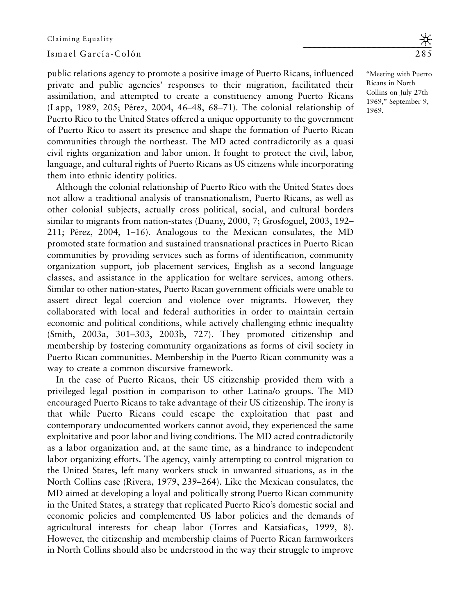### $\lceil \text{small} \rceil$

public relations agency to promote a positive image of Puerto Ricans, influenced private and public agencies' responses to their migration, facilitated their assimilation, and attempted to create a constituency among Puerto Ricans (Lapp, 1989, 205; Pérez, 2004, 46–48, 68–71). The colonial relationship of Puerto Rico to the United States offered a unique opportunity to the government of Puerto Rico to assert its presence and shape the formation of Puerto Rican communities through the northeast. The MD acted contradictorily as a quasi civil rights organization and labor union. It fought to protect the civil, labor, language, and cultural rights of Puerto Ricans as US citizens while incorporating them into ethnic identity politics.

Although the colonial relationship of Puerto Rico with the United States does not allow a traditional analysis of transnationalism, Puerto Ricans, as well as other colonial subjects, actually cross political, social, and cultural borders similar to migrants from nation-states (Duany, 2000, 7; Grosfoguel, 2003, 192– 211; Pérez, 2004, 1-16). Analogous to the Mexican consulates, the MD promoted state formation and sustained transnational practices in Puerto Rican communities by providing services such as forms of identification, community organization support, job placement services, English as a second language classes, and assistance in the application for welfare services, among others. Similar to other nation-states, Puerto Rican government officials were unable to assert direct legal coercion and violence over migrants. However, they collaborated with local and federal authorities in order to maintain certain economic and political conditions, while actively challenging ethnic inequality (Smith, 2003a, 301–303, 2003b, 727). They promoted citizenship and membership by fostering community organizations as forms of civil society in Puerto Rican communities. Membership in the Puerto Rican community was a way to create a common discursive framework.

In the case of Puerto Ricans, their US citizenship provided them with a privileged legal position in comparison to other Latina/o groups. The MD encouraged Puerto Ricans to take advantage of their US citizenship. The irony is that while Puerto Ricans could escape the exploitation that past and contemporary undocumented workers cannot avoid, they experienced the same exploitative and poor labor and living conditions. The MD acted contradictorily as a labor organization and, at the same time, as a hindrance to independent labor organizing efforts. The agency, vainly attempting to control migration to the United States, left many workers stuck in unwanted situations, as in the North Collins case (Rivera, 1979, 239–264). Like the Mexican consulates, the MD aimed at developing a loyal and politically strong Puerto Rican community in the United States, a strategy that replicated Puerto Rico's domestic social and economic policies and complemented US labor policies and the demands of agricultural interests for cheap labor (Torres and Katsiaficas, 1999, 8). However, the citizenship and membership claims of Puerto Rican farmworkers in North Collins should also be understood in the way their struggle to improve ''Meeting with Puerto Ricans in North Collins on July 27th 1969,'' September 9, 1969.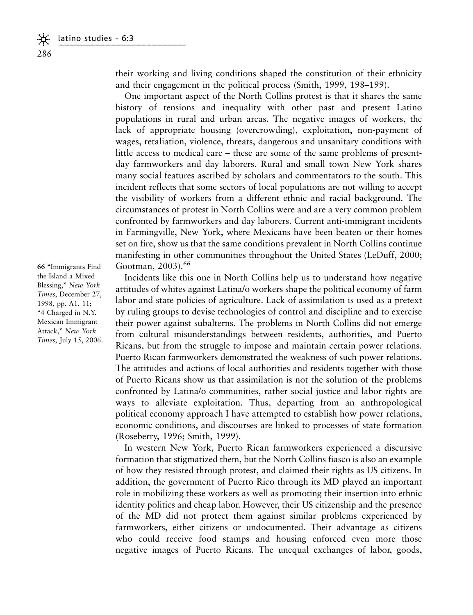286

their working and living conditions shaped the constitution of their ethnicity and their engagement in the political process (Smith, 1999, 198–199).

One important aspect of the North Collins protest is that it shares the same history of tensions and inequality with other past and present Latino populations in rural and urban areas. The negative images of workers, the lack of appropriate housing (overcrowding), exploitation, non-payment of wages, retaliation, violence, threats, dangerous and unsanitary conditions with little access to medical care – these are some of the same problems of presentday farmworkers and day laborers. Rural and small town New York shares many social features ascribed by scholars and commentators to the south. This incident reflects that some sectors of local populations are not willing to accept the visibility of workers from a different ethnic and racial background. The circumstances of protest in North Collins were and are a very common problem confronted by farmworkers and day laborers. Current anti-immigrant incidents in Farmingville, New York, where Mexicans have been beaten or their homes set on fire, show us that the same conditions prevalent in North Collins continue manifesting in other communities throughout the United States (LeDuff, 2000; Gootman, 2003).<sup>66</sup>

Incidents like this one in North Collins help us to understand how negative attitudes of whites against Latina/o workers shape the political economy of farm labor and state policies of agriculture. Lack of assimilation is used as a pretext by ruling groups to devise technologies of control and discipline and to exercise their power against subalterns. The problems in North Collins did not emerge from cultural misunderstandings between residents, authorities, and Puerto Ricans, but from the struggle to impose and maintain certain power relations. Puerto Rican farmworkers demonstrated the weakness of such power relations. The attitudes and actions of local authorities and residents together with those of Puerto Ricans show us that assimilation is not the solution of the problems confronted by Latina/o communities, rather social justice and labor rights are ways to alleviate exploitation. Thus, departing from an anthropological political economy approach I have attempted to establish how power relations, economic conditions, and discourses are linked to processes of state formation (Roseberry, 1996; Smith, 1999).

In western New York, Puerto Rican farmworkers experienced a discursive formation that stigmatized them, but the North Collins fiasco is also an example of how they resisted through protest, and claimed their rights as US citizens. In addition, the government of Puerto Rico through its MD played an important role in mobilizing these workers as well as promoting their insertion into ethnic identity politics and cheap labor. However, their US citizenship and the presence of the MD did not protect them against similar problems experienced by farmworkers, either citizens or undocumented. Their advantage as citizens who could receive food stamps and housing enforced even more those negative images of Puerto Ricans. The unequal exchanges of labor, goods,

66 ''Immigrants Find the Island a Mixed Blessing,'' New York Times, December 27, 1998, pp. A1, 11; "4 Charged in N.Y. Mexican Immigrant Attack,'' New York Times, July 15, 2006.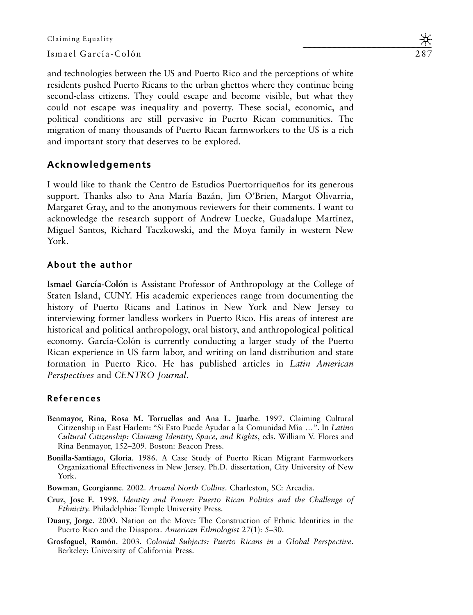and technologies between the US and Puerto Rico and the perceptions of white residents pushed Puerto Ricans to the urban ghettos where they continue being second-class citizens. They could escape and become visible, but what they could not escape was inequality and poverty. These social, economic, and political conditions are still pervasive in Puerto Rican communities. The migration of many thousands of Puerto Rican farmworkers to the US is a rich and important story that deserves to be explored.

# Acknowledgements

I would like to thank the Centro de Estudios Puertorriqueños for its generous support. Thanks also to Ana María Bazán, Jim O'Brien, Margot Olivarria, Margaret Gray, and to the anonymous reviewers for their comments. I want to acknowledge the research support of Andrew Luecke, Guadalupe Martínez, Miguel Santos, Richard Taczkowski, and the Moya family in western New York.

## About the author

Ismael García-Colón is Assistant Professor of Anthropology at the College of Staten Island, CUNY. His academic experiences range from documenting the history of Puerto Ricans and Latinos in New York and New Jersey to interviewing former landless workers in Puerto Rico. His areas of interest are historical and political anthropology, oral history, and anthropological political economy. García-Colón is currently conducting a larger study of the Puerto Rican experience in US farm labor, and writing on land distribution and state formation in Puerto Rico. He has published articles in Latin American Perspectives and CENTRO Journal.

## References

- Benmayor, Rina, Rosa M. Torruellas and Ana L. Juarbe. 1997. Claiming Cultural Citizenship in East Harlem: "Si Esto Puede Ayudar a la Comunidad Mía ...". In Latino Cultural Citizenship: Claiming Identity, Space, and Rights, eds. William V. Flores and Rina Benmayor, 152–209. Boston: Beacon Press.
- Bonilla-Santiago, Gloria. 1986. A Case Study of Puerto Rican Migrant Farmworkers Organizational Effectiveness in New Jersey. Ph.D. dissertation, City University of New York.
- Bowman, Georgianne. 2002. Around North Collins. Charleston, SC: Arcadia.
- Cruz, Jose E. 1998. Identity and Power: Puerto Rican Politics and the Challenge of Ethnicity. Philadelphia: Temple University Press.
- Duany, Jorge. 2000. Nation on the Move: The Construction of Ethnic Identities in the Puerto Rico and the Diaspora. American Ethnologist 27(1): 5–30.
- Grosfoguel, Ramón. 2003. Colonial Subjects: Puerto Ricans in a Global Perspective. Berkeley: University of California Press.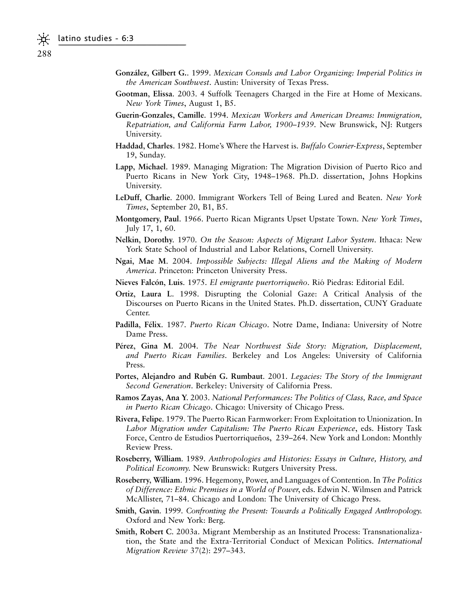- González, Gilbert G.. 1999. Mexican Consuls and Labor Organizing: Imperial Politics in the American Southwest. Austin: University of Texas Press.
- Gootman, Elissa. 2003. 4 Suffolk Teenagers Charged in the Fire at Home of Mexicans. New York Times, August 1, B5.
- Guerin-Gonzales, Camille. 1994. Mexican Workers and American Dreams: Immigration, Repatriation, and California Farm Labor, 1900–1939. New Brunswick, NJ: Rutgers University.
- Haddad, Charles. 1982. Home's Where the Harvest is. Buffalo Courier-Express, September 19, Sunday.
- Lapp, Michael. 1989. Managing Migration: The Migration Division of Puerto Rico and Puerto Ricans in New York City, 1948–1968. Ph.D. dissertation, Johns Hopkins University.
- LeDuff, Charlie. 2000. Immigrant Workers Tell of Being Lured and Beaten. New York Times, September 20, B1, B5.
- Montgomery, Paul. 1966. Puerto Rican Migrants Upset Upstate Town. New York Times, July 17, 1, 60.
- Nelkin, Dorothy. 1970. On the Season: Aspects of Migrant Labor System. Ithaca: New York State School of Industrial and Labor Relations, Cornell University.
- Ngai, Mae M. 2004. Impossible Subjects: Illegal Aliens and the Making of Modern America. Princeton: Princeton University Press.
- Nieves Falcón, Luis. 1975. El emigrante puertorriqueño. Rió Piedras: Editorial Edil.
- Ortiz, Laura L. 1998. Disrupting the Colonial Gaze: A Critical Analysis of the Discourses on Puerto Ricans in the United States. Ph.D. dissertation, CUNY Graduate Center.
- Padilla, Félix. 1987. Puerto Rican Chicago. Notre Dame, Indiana: University of Notre Dame Press.
- Pérez, Gina M. 2004. The Near Northwest Side Story: Migration, Displacement, and Puerto Rican Families. Berkeley and Los Angeles: University of California Press.
- Portes, Alejandro and Rubén G. Rumbaut. 2001. Legacies: The Story of the Immigrant Second Generation. Berkeley: University of California Press.
- Ramos Zayas, Ana Y. 2003. National Performances: The Politics of Class, Race, and Space in Puerto Rican Chicago. Chicago: University of Chicago Press.
- Rivera, Felipe. 1979. The Puerto Rican Farmworker: From Exploitation to Unionization. In Labor Migration under Capitalism: The Puerto Rican Experience, eds. History Task Force, Centro de Estudios Puertorriqueños, 239-264. New York and London: Monthly Review Press.
- Roseberry, William. 1989. Anthropologies and Histories: Essays in Culture, History, and Political Economy. New Brunswick: Rutgers University Press.
- Roseberry, William. 1996. Hegemony, Power, and Languages of Contention. In The Politics of Difference: Ethnic Premises in a World of Power, eds. Edwin N. Wilmsen and Patrick McAllister, 71–84. Chicago and London: The University of Chicago Press.
- Smith, Gavin. 1999. Confronting the Present: Towards a Politically Engaged Anthropology. Oxford and New York: Berg.
- Smith, Robert C. 2003a. Migrant Membership as an Instituted Process: Transnationalization, the State and the Extra-Territorial Conduct of Mexican Politics. International Migration Review 37(2): 297–343.